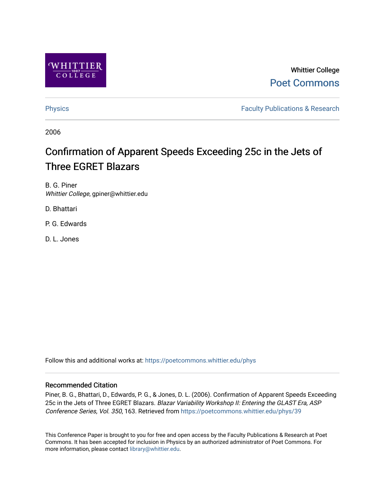

Whittier College [Poet Commons](https://poetcommons.whittier.edu/) 

[Physics](https://poetcommons.whittier.edu/phys) **Faculty Publications & Research Physics Faculty Publications & Research** 

2006

# Confirmation of Apparent Speeds Exceeding 25c in the Jets of Three EGRET Blazars

B. G. Piner Whittier College, gpiner@whittier.edu

D. Bhattari

P. G. Edwards

D. L. Jones

Follow this and additional works at: [https://poetcommons.whittier.edu/phys](https://poetcommons.whittier.edu/phys?utm_source=poetcommons.whittier.edu%2Fphys%2F39&utm_medium=PDF&utm_campaign=PDFCoverPages)

# Recommended Citation

Piner, B. G., Bhattari, D., Edwards, P. G., & Jones, D. L. (2006). Confirmation of Apparent Speeds Exceeding 25c in the Jets of Three EGRET Blazars. Blazar Variability Workshop II: Entering the GLAST Era, ASP Conference Series, Vol. 350, 163. Retrieved from [https://poetcommons.whittier.edu/phys/39](https://poetcommons.whittier.edu/phys/39?utm_source=poetcommons.whittier.edu%2Fphys%2F39&utm_medium=PDF&utm_campaign=PDFCoverPages)

This Conference Paper is brought to you for free and open access by the Faculty Publications & Research at Poet Commons. It has been accepted for inclusion in Physics by an authorized administrator of Poet Commons. For more information, please contact [library@whittier.edu.](mailto:library@whittier.edu)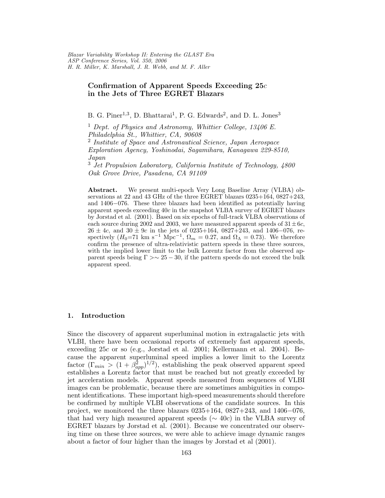# Confirmation of Apparent Speeds Exceeding  $25c$ in the Jets of Three EGRET Blazars

B. G. Piner<sup>1,3</sup>, D. Bhattarai<sup>1</sup>, P. G. Edwards<sup>2</sup>, and D. L. Jones<sup>3</sup>

<sup>1</sup> Dept. of Physics and Astronomy, Whittier College,  $13406$  E. Philadelphia St., Whittier, CA, 90608

<sup>2</sup> Institute of Space and Astronautical Science, Japan Aerospace Exploration Agency, Yoshinodai, Sagamihara, Kanagawa 229-8510, Japan

<sup>3</sup> Jet Propulsion Laboratory, California Institute of Technology, 4800 Oak Grove Drive, Pasadena, CA 91109

Abstract. We present multi-epoch Very Long Baseline Array (VLBA) observations at 22 and 43 GHz of the three EGRET blazars  $0235+164$ ,  $0827+243$ , and 1406−076. These three blazars had been identified as potentially having apparent speeds exceeding 40c in the snapshot VLBA survey of EGRET blazars by Jorstad et al. (2001). Based on six epochs of full-track VLBA observations of each source during 2002 and 2003, we have measured apparent speeds of  $31 \pm 6c$ ,  $26 \pm 4c$ , and  $30 \pm 9c$  in the jets of 0235+164, 0827+243, and 1406–076, respectively  $(H_0=71 \text{ km s}^{-1} \text{ Mpc}^{-1}, \Omega_m = 0.27, \text{ and } \Omega_\Lambda = 0.73)$ . We therefore confirm the presence of ultra-relativistic pattern speeds in these three sources, with the implied lower limit to the bulk Lorentz factor from the observed apparent speeds being  $\Gamma > \sim 25 - 30$ , if the pattern speeds do not exceed the bulk apparent speed.

# 1. Introduction

Since the discovery of apparent superluminal motion in extragalactic jets with VLBI, there have been occasional reports of extremely fast apparent speeds, exceeding 25c or so (e.g., Jorstad et al. 2001; Kellermann et al. 2004). Because the apparent superluminal speed implies a lower limit to the Lorentz factor  $(\Gamma_{min} > (1 + \beta_{app}^2)^{1/2})$ , establishing the peak observed apparent speed establishes a Lorentz factor that must be reached but not greatly exceeded by jet acceleration models. Apparent speeds measured from sequences of VLBI images can be problematic, because there are sometimes ambiguities in component identifications. These important high-speed measurements should therefore be confirmed by multiple VLBI observations of the candidate sources. In this project, we monitored the three blazars  $0235+164$ ,  $0827+243$ , and  $1406-076$ , that had very high measured apparent speeds ( $\sim$  40c) in the VLBA survey of EGRET blazars by Jorstad et al. (2001). Because we concentrated our observing time on these three sources, we were able to achieve image dynamic ranges about a factor of four higher than the images by Jorstad et al (2001).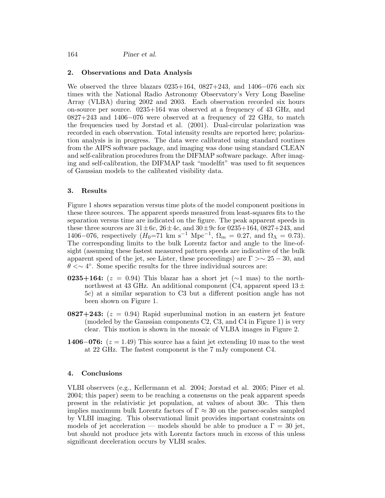164 Piner et al.

## 2. Observations and Data Analysis

We observed the three blazars 0235+164, 0827+243, and 1406−076 each six times with the National Radio Astronomy Observatory's Very Long Baseline Array (VLBA) during 2002 and 2003. Each observation recorded six hours on-source per source. 0235+164 was observed at a frequency of 43 GHz, and 0827+243 and 1406−076 were observed at a frequency of 22 GHz, to match the frequencies used by Jorstad et al. (2001). Dual-circular polarization was recorded in each observation. Total intensity results are reported here; polarization analysis is in progress. The data were calibrated using standard routines from the AIPS software package, and imaging was done using standard CLEAN and self-calibration procedures from the DIFMAP software package. After imaging and self-calibration, the DIFMAP task "modelfit" was used to fit sequences of Gaussian models to the calibrated visibility data.

#### 3. Results

Figure 1 shows separation versus time plots of the model component positions in these three sources. The apparent speeds measured from least-squares fits to the separation versus time are indicated on the figure. The peak apparent speeds in these three sources are  $31 \pm 6c$ ,  $26 \pm 4c$ , and  $30 \pm 9c$  for  $0235 + 164$ ,  $0827 + 243$ , and 1406–076, respectively  $(H_0=71 \text{ km s}^{-1} \text{ Mpc}^{-1}, \Omega_m = 0.27, \text{ and } \Omega_\Lambda = 0.73)$ . The corresponding limits to the bulk Lorentz factor and angle to the line-ofsight (assuming these fastest measured pattern speeds are indicative of the bulk apparent speed of the jet, see Lister, these proceedings) are  $\Gamma > \sim 25 - 30$ , and  $\theta \ll \sim 4^{\circ}$ . Some specific results for the three individual sources are:

- 0235+164:  $(z = 0.94)$  This blazar has a short jet (∼1 mas) to the northnorthwest at 43 GHz. An additional component (C4, apparent speed  $13\pm$ 5c) at a similar separation to C3 but a different position angle has not been shown on Figure 1.
- **0827+243:**  $(z = 0.94)$  Rapid superluminal motion in an eastern jet feature (modeled by the Gaussian components C2, C3, and C4 in Figure 1) is very clear. This motion is shown in the mosaic of VLBA images in Figure 2.
- **1406−076:**  $(z = 1.49)$  This source has a faint jet extending 10 mas to the west at 22 GHz. The fastest component is the 7 mJy component C4.

## 4. Conclusions

VLBI observers (e.g., Kellermann et al. 2004; Jorstad et al. 2005; Piner et al. 2004; this paper) seem to be reaching a consensus on the peak apparent speeds present in the relativistic jet population, at values of about 30c. This then implies maximum bulk Lorentz factors of  $\Gamma \approx 30$  on the parsec-scales sampled by VLBI imaging. This observational limit provides important constraints on models of jet acceleration — models should be able to produce a  $\Gamma = 30$  jet, but should not produce jets with Lorentz factors much in excess of this unless significant deceleration occurs by VLBI scales.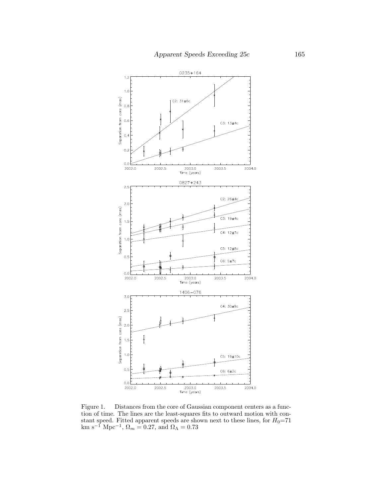

Figure 1. Distances from the core of Gaussian component centers as a function of time. The lines are the least-squares fits to outward motion with constant speed. Fitted apparent speeds are shown next to these lines, for  $H_0=71$ km s<sup>-1</sup> Mpc<sup>-1</sup>,  $\Omega_m = 0.27$ , and  $\Omega_{\Lambda} = 0.73$